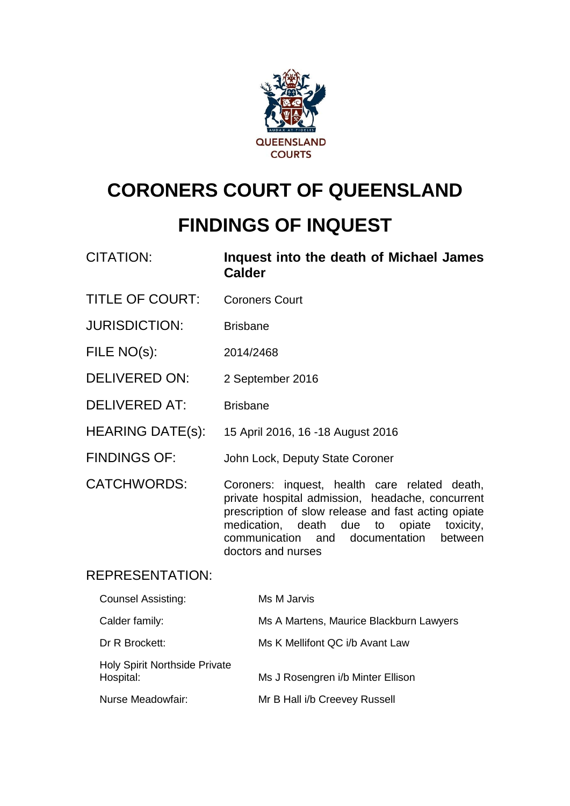

# **CORONERS COURT OF QUEENSLAND**

# **FINDINGS OF INQUEST**

| <b>CITATION:</b>       | Inquest into the death of Michael James<br><b>Calder</b>                                                                                                                                                                                                                        |  |  |  |  |
|------------------------|---------------------------------------------------------------------------------------------------------------------------------------------------------------------------------------------------------------------------------------------------------------------------------|--|--|--|--|
| <b>TITLE OF COURT:</b> | <b>Coroners Court</b>                                                                                                                                                                                                                                                           |  |  |  |  |
| <b>JURISDICTION:</b>   | <b>Brisbane</b>                                                                                                                                                                                                                                                                 |  |  |  |  |
| FILE NO(s):            | 2014/2468                                                                                                                                                                                                                                                                       |  |  |  |  |
| DELIVERED ON:          | 2 September 2016                                                                                                                                                                                                                                                                |  |  |  |  |
| <b>DELIVERED AT:</b>   | <b>Brisbane</b>                                                                                                                                                                                                                                                                 |  |  |  |  |
| HEARING DATE(s):       | 15 April 2016, 16 -18 August 2016                                                                                                                                                                                                                                               |  |  |  |  |
| <b>FINDINGS OF:</b>    | John Lock, Deputy State Coroner                                                                                                                                                                                                                                                 |  |  |  |  |
| <b>CATCHWORDS:</b>     | Coroners: inquest, health care related death,<br>private hospital admission, headache, concurrent<br>prescription of slow release and fast acting opiate<br>opiate<br>medication, death due to<br>toxicity,<br>communication and documentation<br>between<br>doctors and nurses |  |  |  |  |
| <b>REPRESENTATION:</b> |                                                                                                                                                                                                                                                                                 |  |  |  |  |

# REPRESENTATION:

| <b>Counsel Assisting:</b>                         | Ms M Jarvis                             |
|---------------------------------------------------|-----------------------------------------|
| Calder family:                                    | Ms A Martens, Maurice Blackburn Lawyers |
| Dr R Brockett:                                    | Ms K Mellifont QC i/b Avant Law         |
| <b>Holy Spirit Northside Private</b><br>Hospital: | Ms J Rosengren i/b Minter Ellison       |
| Nurse Meadowfair:                                 | Mr B Hall i/b Creevey Russell           |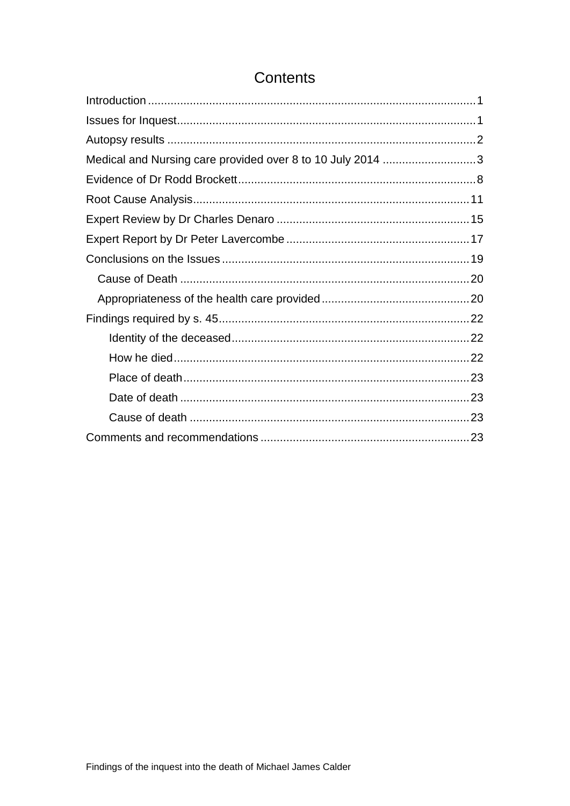| Medical and Nursing care provided over 8 to 10 July 2014 3 |  |
|------------------------------------------------------------|--|
|                                                            |  |
|                                                            |  |
|                                                            |  |
|                                                            |  |
|                                                            |  |
|                                                            |  |
|                                                            |  |
|                                                            |  |
|                                                            |  |
|                                                            |  |
|                                                            |  |
|                                                            |  |
|                                                            |  |
|                                                            |  |

# Contents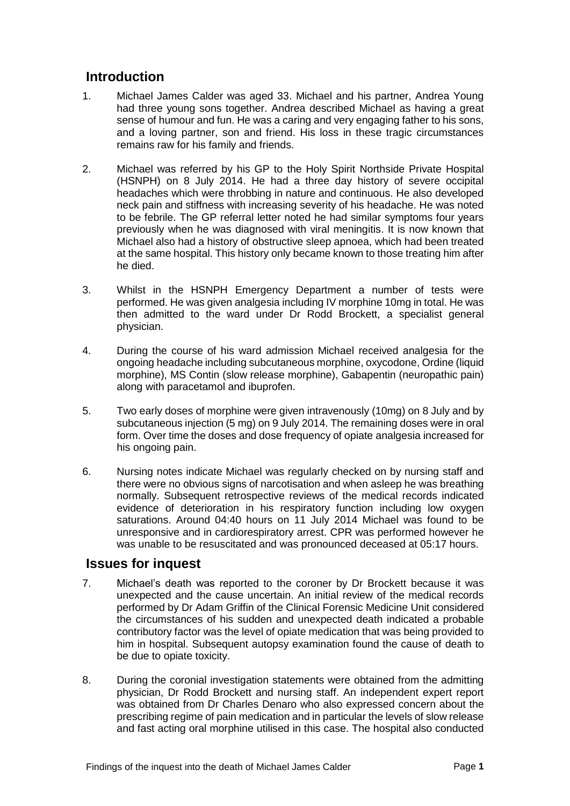# <span id="page-2-0"></span>**Introduction**

- 1. Michael James Calder was aged 33. Michael and his partner, Andrea Young had three young sons together. Andrea described Michael as having a great sense of humour and fun. He was a caring and very engaging father to his sons, and a loving partner, son and friend. His loss in these tragic circumstances remains raw for his family and friends.
- 2. Michael was referred by his GP to the Holy Spirit Northside Private Hospital (HSNPH) on 8 July 2014. He had a three day history of severe occipital headaches which were throbbing in nature and continuous. He also developed neck pain and stiffness with increasing severity of his headache. He was noted to be febrile. The GP referral letter noted he had similar symptoms four years previously when he was diagnosed with viral meningitis. It is now known that Michael also had a history of obstructive sleep apnoea, which had been treated at the same hospital. This history only became known to those treating him after he died.
- 3. Whilst in the HSNPH Emergency Department a number of tests were performed. He was given analgesia including IV morphine 10mg in total. He was then admitted to the ward under Dr Rodd Brockett, a specialist general physician.
- 4. During the course of his ward admission Michael received analgesia for the ongoing headache including subcutaneous morphine, oxycodone, Ordine (liquid morphine), MS Contin (slow release morphine), Gabapentin (neuropathic pain) along with paracetamol and ibuprofen.
- 5. Two early doses of morphine were given intravenously (10mg) on 8 July and by subcutaneous injection (5 mg) on 9 July 2014. The remaining doses were in oral form. Over time the doses and dose frequency of opiate analgesia increased for his ongoing pain.
- 6. Nursing notes indicate Michael was regularly checked on by nursing staff and there were no obvious signs of narcotisation and when asleep he was breathing normally. Subsequent retrospective reviews of the medical records indicated evidence of deterioration in his respiratory function including low oxygen saturations. Around 04:40 hours on 11 July 2014 Michael was found to be unresponsive and in cardiorespiratory arrest. CPR was performed however he was unable to be resuscitated and was pronounced deceased at 05:17 hours.

# <span id="page-2-1"></span>**Issues for inquest**

- 7. Michael's death was reported to the coroner by Dr Brockett because it was unexpected and the cause uncertain. An initial review of the medical records performed by Dr Adam Griffin of the Clinical Forensic Medicine Unit considered the circumstances of his sudden and unexpected death indicated a probable contributory factor was the level of opiate medication that was being provided to him in hospital. Subsequent autopsy examination found the cause of death to be due to opiate toxicity.
- 8. During the coronial investigation statements were obtained from the admitting physician, Dr Rodd Brockett and nursing staff. An independent expert report was obtained from Dr Charles Denaro who also expressed concern about the prescribing regime of pain medication and in particular the levels of slow release and fast acting oral morphine utilised in this case. The hospital also conducted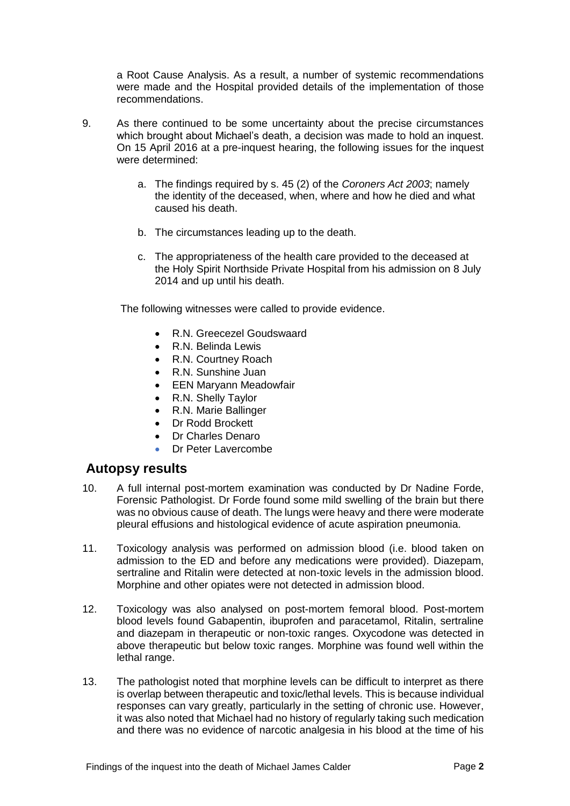a Root Cause Analysis. As a result, a number of systemic recommendations were made and the Hospital provided details of the implementation of those recommendations.

- 9. As there continued to be some uncertainty about the precise circumstances which brought about Michael's death, a decision was made to hold an inquest. On 15 April 2016 at a pre-inquest hearing, the following issues for the inquest were determined:
	- a. The findings required by s. 45 (2) of the *Coroners Act 2003*; namely the identity of the deceased, when, where and how he died and what caused his death.
	- b. The circumstances leading up to the death.
	- c. The appropriateness of the health care provided to the deceased at the Holy Spirit Northside Private Hospital from his admission on 8 July 2014 and up until his death.

The following witnesses were called to provide evidence.

- R.N. Greecezel Goudswaard
- R.N. Belinda Lewis
- R.N. Courtney Roach
- R.N. Sunshine Juan
- EEN Maryann Meadowfair
- R.N. Shelly Taylor
- R.N. Marie Ballinger
- Dr Rodd Brockett
- Dr Charles Denaro
- Dr Peter Lavercombe

#### <span id="page-3-0"></span>**Autopsy results**

- 10. A full internal post-mortem examination was conducted by Dr Nadine Forde, Forensic Pathologist. Dr Forde found some mild swelling of the brain but there was no obvious cause of death. The lungs were heavy and there were moderate pleural effusions and histological evidence of acute aspiration pneumonia.
- 11. Toxicology analysis was performed on admission blood (i.e. blood taken on admission to the ED and before any medications were provided). Diazepam, sertraline and Ritalin were detected at non-toxic levels in the admission blood. Morphine and other opiates were not detected in admission blood.
- 12. Toxicology was also analysed on post-mortem femoral blood. Post-mortem blood levels found Gabapentin, ibuprofen and paracetamol, Ritalin, sertraline and diazepam in therapeutic or non-toxic ranges. Oxycodone was detected in above therapeutic but below toxic ranges. Morphine was found well within the lethal range.
- 13. The pathologist noted that morphine levels can be difficult to interpret as there is overlap between therapeutic and toxic/lethal levels. This is because individual responses can vary greatly, particularly in the setting of chronic use. However, it was also noted that Michael had no history of regularly taking such medication and there was no evidence of narcotic analgesia in his blood at the time of his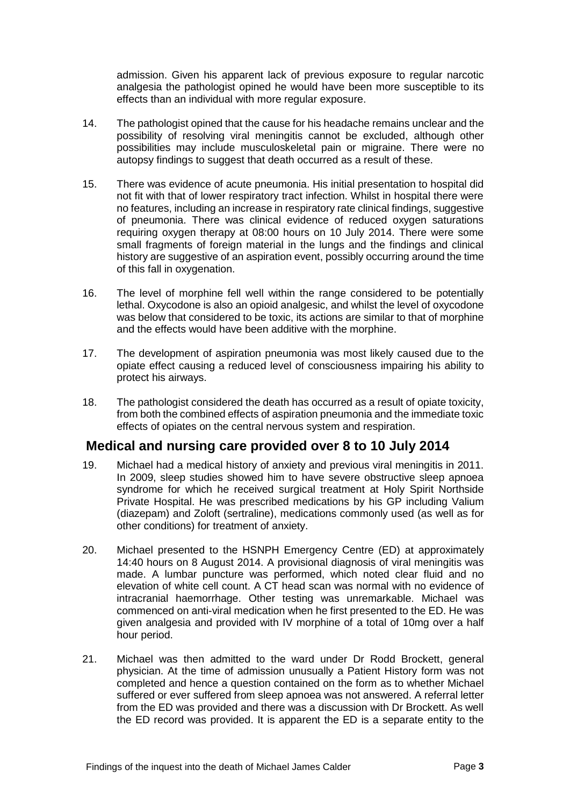admission. Given his apparent lack of previous exposure to regular narcotic analgesia the pathologist opined he would have been more susceptible to its effects than an individual with more regular exposure.

- 14. The pathologist opined that the cause for his headache remains unclear and the possibility of resolving viral meningitis cannot be excluded, although other possibilities may include musculoskeletal pain or migraine. There were no autopsy findings to suggest that death occurred as a result of these.
- 15. There was evidence of acute pneumonia. His initial presentation to hospital did not fit with that of lower respiratory tract infection. Whilst in hospital there were no features, including an increase in respiratory rate clinical findings, suggestive of pneumonia. There was clinical evidence of reduced oxygen saturations requiring oxygen therapy at 08:00 hours on 10 July 2014. There were some small fragments of foreign material in the lungs and the findings and clinical history are suggestive of an aspiration event, possibly occurring around the time of this fall in oxygenation.
- 16. The level of morphine fell well within the range considered to be potentially lethal. Oxycodone is also an opioid analgesic, and whilst the level of oxycodone was below that considered to be toxic, its actions are similar to that of morphine and the effects would have been additive with the morphine.
- 17. The development of aspiration pneumonia was most likely caused due to the opiate effect causing a reduced level of consciousness impairing his ability to protect his airways.
- 18. The pathologist considered the death has occurred as a result of opiate toxicity, from both the combined effects of aspiration pneumonia and the immediate toxic effects of opiates on the central nervous system and respiration.

# <span id="page-4-0"></span>**Medical and nursing care provided over 8 to 10 July 2014**

- 19. Michael had a medical history of anxiety and previous viral meningitis in 2011. In 2009, sleep studies showed him to have severe obstructive sleep apnoea syndrome for which he received surgical treatment at Holy Spirit Northside Private Hospital. He was prescribed medications by his GP including Valium (diazepam) and Zoloft (sertraline), medications commonly used (as well as for other conditions) for treatment of anxiety.
- 20. Michael presented to the HSNPH Emergency Centre (ED) at approximately 14:40 hours on 8 August 2014. A provisional diagnosis of viral meningitis was made. A lumbar puncture was performed, which noted clear fluid and no elevation of white cell count. A CT head scan was normal with no evidence of intracranial haemorrhage. Other testing was unremarkable. Michael was commenced on anti-viral medication when he first presented to the ED. He was given analgesia and provided with IV morphine of a total of 10mg over a half hour period.
- 21. Michael was then admitted to the ward under Dr Rodd Brockett, general physician. At the time of admission unusually a Patient History form was not completed and hence a question contained on the form as to whether Michael suffered or ever suffered from sleep apnoea was not answered. A referral letter from the ED was provided and there was a discussion with Dr Brockett. As well the ED record was provided. It is apparent the ED is a separate entity to the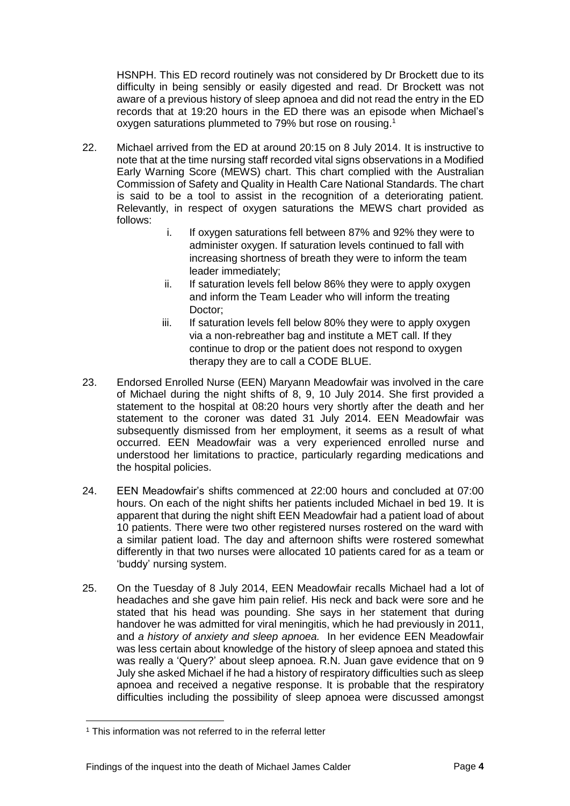HSNPH. This ED record routinely was not considered by Dr Brockett due to its difficulty in being sensibly or easily digested and read. Dr Brockett was not aware of a previous history of sleep apnoea and did not read the entry in the ED records that at 19:20 hours in the ED there was an episode when Michael's oxygen saturations plummeted to 79% but rose on rousing.<sup>1</sup>

- 22. Michael arrived from the ED at around 20:15 on 8 July 2014. It is instructive to note that at the time nursing staff recorded vital signs observations in a Modified Early Warning Score (MEWS) chart. This chart complied with the Australian Commission of Safety and Quality in Health Care National Standards. The chart is said to be a tool to assist in the recognition of a deteriorating patient. Relevantly, in respect of oxygen saturations the MEWS chart provided as follows:
	- i. If oxygen saturations fell between 87% and 92% they were to administer oxygen. If saturation levels continued to fall with increasing shortness of breath they were to inform the team leader immediately;
	- ii. If saturation levels fell below 86% they were to apply oxygen and inform the Team Leader who will inform the treating Doctor;
	- iii. If saturation levels fell below 80% they were to apply oxygen via a non-rebreather bag and institute a MET call. If they continue to drop or the patient does not respond to oxygen therapy they are to call a CODE BLUE.
- 23. Endorsed Enrolled Nurse (EEN) Maryann Meadowfair was involved in the care of Michael during the night shifts of 8, 9, 10 July 2014. She first provided a statement to the hospital at 08:20 hours very shortly after the death and her statement to the coroner was dated 31 July 2014. EEN Meadowfair was subsequently dismissed from her employment, it seems as a result of what occurred. EEN Meadowfair was a very experienced enrolled nurse and understood her limitations to practice, particularly regarding medications and the hospital policies.
- 24. EEN Meadowfair's shifts commenced at 22:00 hours and concluded at 07:00 hours. On each of the night shifts her patients included Michael in bed 19. It is apparent that during the night shift EEN Meadowfair had a patient load of about 10 patients. There were two other registered nurses rostered on the ward with a similar patient load. The day and afternoon shifts were rostered somewhat differently in that two nurses were allocated 10 patients cared for as a team or 'buddy' nursing system.
- 25. On the Tuesday of 8 July 2014, EEN Meadowfair recalls Michael had a lot of headaches and she gave him pain relief. His neck and back were sore and he stated that his head was pounding. She says in her statement that during handover he was admitted for viral meningitis, which he had previously in 2011, and *a history of anxiety and sleep apnoea.* In her evidence EEN Meadowfair was less certain about knowledge of the history of sleep apnoea and stated this was really a 'Query?' about sleep apnoea. R.N. Juan gave evidence that on 9 July she asked Michael if he had a history of respiratory difficulties such as sleep apnoea and received a negative response. It is probable that the respiratory difficulties including the possibility of sleep apnoea were discussed amongst

l

<sup>&</sup>lt;sup>1</sup> This information was not referred to in the referral letter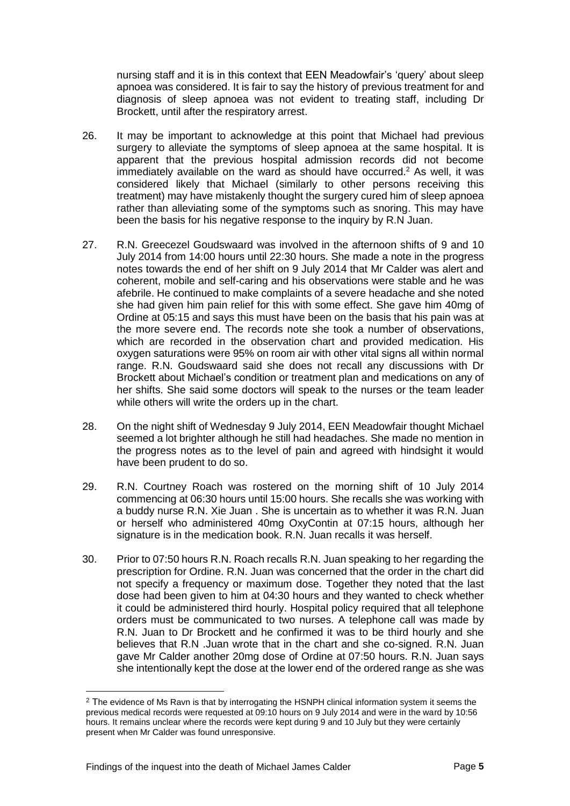nursing staff and it is in this context that EEN Meadowfair's 'query' about sleep apnoea was considered. It is fair to say the history of previous treatment for and diagnosis of sleep apnoea was not evident to treating staff, including Dr Brockett, until after the respiratory arrest.

- 26. It may be important to acknowledge at this point that Michael had previous surgery to alleviate the symptoms of sleep apnoea at the same hospital. It is apparent that the previous hospital admission records did not become immediately available on the ward as should have occurred.<sup>2</sup> As well, it was considered likely that Michael (similarly to other persons receiving this treatment) may have mistakenly thought the surgery cured him of sleep apnoea rather than alleviating some of the symptoms such as snoring. This may have been the basis for his negative response to the inquiry by R.N Juan.
- 27. R.N. Greecezel Goudswaard was involved in the afternoon shifts of 9 and 10 July 2014 from 14:00 hours until 22:30 hours. She made a note in the progress notes towards the end of her shift on 9 July 2014 that Mr Calder was alert and coherent, mobile and self-caring and his observations were stable and he was afebrile. He continued to make complaints of a severe headache and she noted she had given him pain relief for this with some effect. She gave him 40mg of Ordine at 05:15 and says this must have been on the basis that his pain was at the more severe end. The records note she took a number of observations, which are recorded in the observation chart and provided medication. His oxygen saturations were 95% on room air with other vital signs all within normal range. R.N. Goudswaard said she does not recall any discussions with Dr Brockett about Michael's condition or treatment plan and medications on any of her shifts. She said some doctors will speak to the nurses or the team leader while others will write the orders up in the chart.
- 28. On the night shift of Wednesday 9 July 2014, EEN Meadowfair thought Michael seemed a lot brighter although he still had headaches. She made no mention in the progress notes as to the level of pain and agreed with hindsight it would have been prudent to do so.
- 29. R.N. Courtney Roach was rostered on the morning shift of 10 July 2014 commencing at 06:30 hours until 15:00 hours. She recalls she was working with a buddy nurse R.N. Xie Juan . She is uncertain as to whether it was R.N. Juan or herself who administered 40mg OxyContin at 07:15 hours, although her signature is in the medication book. R.N. Juan recalls it was herself.
- 30. Prior to 07:50 hours R.N. Roach recalls R.N. Juan speaking to her regarding the prescription for Ordine. R.N. Juan was concerned that the order in the chart did not specify a frequency or maximum dose. Together they noted that the last dose had been given to him at 04:30 hours and they wanted to check whether it could be administered third hourly. Hospital policy required that all telephone orders must be communicated to two nurses. A telephone call was made by R.N. Juan to Dr Brockett and he confirmed it was to be third hourly and she believes that R.N .Juan wrote that in the chart and she co-signed. R.N. Juan gave Mr Calder another 20mg dose of Ordine at 07:50 hours. R.N. Juan says she intentionally kept the dose at the lower end of the ordered range as she was

l

<sup>&</sup>lt;sup>2</sup> The evidence of Ms Ravn is that by interrogating the HSNPH clinical information system it seems the previous medical records were requested at 09:10 hours on 9 July 2014 and were in the ward by 10:56 hours. It remains unclear where the records were kept during 9 and 10 July but they were certainly present when Mr Calder was found unresponsive.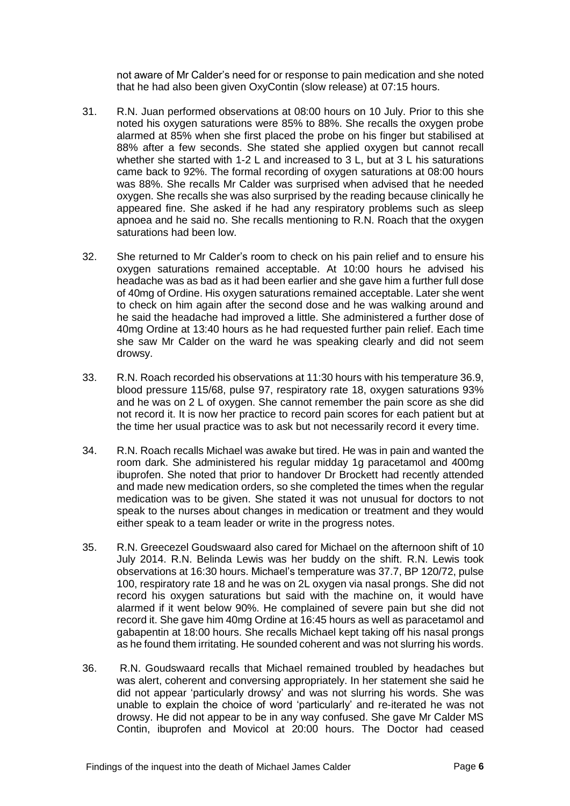not aware of Mr Calder's need for or response to pain medication and she noted that he had also been given OxyContin (slow release) at 07:15 hours.

- 31. R.N. Juan performed observations at 08:00 hours on 10 July. Prior to this she noted his oxygen saturations were 85% to 88%. She recalls the oxygen probe alarmed at 85% when she first placed the probe on his finger but stabilised at 88% after a few seconds. She stated she applied oxygen but cannot recall whether she started with 1-2 L and increased to 3 L, but at 3 L his saturations came back to 92%. The formal recording of oxygen saturations at 08:00 hours was 88%. She recalls Mr Calder was surprised when advised that he needed oxygen. She recalls she was also surprised by the reading because clinically he appeared fine. She asked if he had any respiratory problems such as sleep apnoea and he said no. She recalls mentioning to R.N. Roach that the oxygen saturations had been low.
- 32. She returned to Mr Calder's room to check on his pain relief and to ensure his oxygen saturations remained acceptable. At 10:00 hours he advised his headache was as bad as it had been earlier and she gave him a further full dose of 40mg of Ordine. His oxygen saturations remained acceptable. Later she went to check on him again after the second dose and he was walking around and he said the headache had improved a little. She administered a further dose of 40mg Ordine at 13:40 hours as he had requested further pain relief. Each time she saw Mr Calder on the ward he was speaking clearly and did not seem drowsy.
- 33. R.N. Roach recorded his observations at 11:30 hours with his temperature 36.9, blood pressure 115/68, pulse 97, respiratory rate 18, oxygen saturations 93% and he was on 2 L of oxygen. She cannot remember the pain score as she did not record it. It is now her practice to record pain scores for each patient but at the time her usual practice was to ask but not necessarily record it every time.
- 34. R.N. Roach recalls Michael was awake but tired. He was in pain and wanted the room dark. She administered his regular midday 1g paracetamol and 400mg ibuprofen. She noted that prior to handover Dr Brockett had recently attended and made new medication orders, so she completed the times when the regular medication was to be given. She stated it was not unusual for doctors to not speak to the nurses about changes in medication or treatment and they would either speak to a team leader or write in the progress notes.
- 35. R.N. Greecezel Goudswaard also cared for Michael on the afternoon shift of 10 July 2014. R.N. Belinda Lewis was her buddy on the shift. R.N. Lewis took observations at 16:30 hours. Michael's temperature was 37.7, BP 120/72, pulse 100, respiratory rate 18 and he was on 2L oxygen via nasal prongs. She did not record his oxygen saturations but said with the machine on, it would have alarmed if it went below 90%. He complained of severe pain but she did not record it. She gave him 40mg Ordine at 16:45 hours as well as paracetamol and gabapentin at 18:00 hours. She recalls Michael kept taking off his nasal prongs as he found them irritating. He sounded coherent and was not slurring his words.
- 36. R.N. Goudswaard recalls that Michael remained troubled by headaches but was alert, coherent and conversing appropriately. In her statement she said he did not appear 'particularly drowsy' and was not slurring his words. She was unable to explain the choice of word 'particularly' and re-iterated he was not drowsy. He did not appear to be in any way confused. She gave Mr Calder MS Contin, ibuprofen and Movicol at 20:00 hours. The Doctor had ceased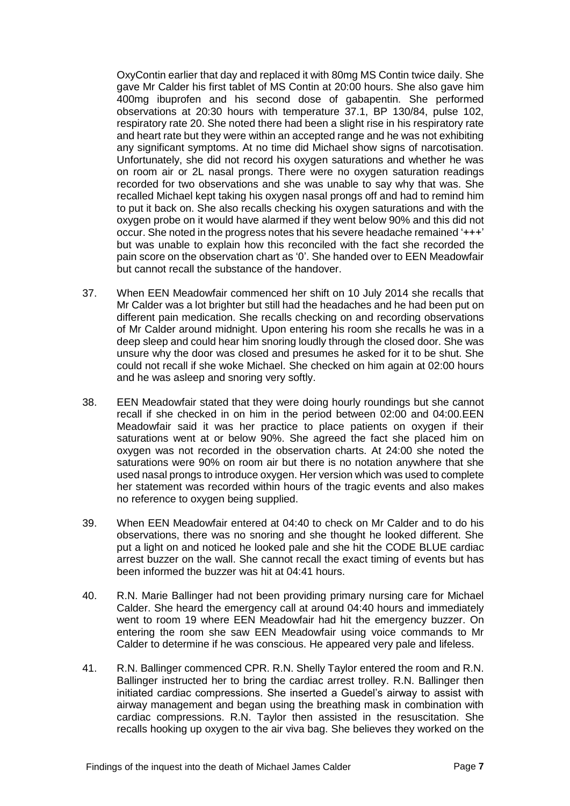OxyContin earlier that day and replaced it with 80mg MS Contin twice daily. She gave Mr Calder his first tablet of MS Contin at 20:00 hours. She also gave him 400mg ibuprofen and his second dose of gabapentin. She performed observations at 20:30 hours with temperature 37.1, BP 130/84, pulse 102, respiratory rate 20. She noted there had been a slight rise in his respiratory rate and heart rate but they were within an accepted range and he was not exhibiting any significant symptoms. At no time did Michael show signs of narcotisation. Unfortunately, she did not record his oxygen saturations and whether he was on room air or 2L nasal prongs. There were no oxygen saturation readings recorded for two observations and she was unable to say why that was. She recalled Michael kept taking his oxygen nasal prongs off and had to remind him to put it back on. She also recalls checking his oxygen saturations and with the oxygen probe on it would have alarmed if they went below 90% and this did not occur. She noted in the progress notes that his severe headache remained '+++' but was unable to explain how this reconciled with the fact she recorded the pain score on the observation chart as '0'. She handed over to EEN Meadowfair but cannot recall the substance of the handover.

- 37. When EEN Meadowfair commenced her shift on 10 July 2014 she recalls that Mr Calder was a lot brighter but still had the headaches and he had been put on different pain medication. She recalls checking on and recording observations of Mr Calder around midnight. Upon entering his room she recalls he was in a deep sleep and could hear him snoring loudly through the closed door. She was unsure why the door was closed and presumes he asked for it to be shut. She could not recall if she woke Michael. She checked on him again at 02:00 hours and he was asleep and snoring very softly.
- 38. EEN Meadowfair stated that they were doing hourly roundings but she cannot recall if she checked in on him in the period between 02:00 and 04:00.EEN Meadowfair said it was her practice to place patients on oxygen if their saturations went at or below 90%. She agreed the fact she placed him on oxygen was not recorded in the observation charts. At 24:00 she noted the saturations were 90% on room air but there is no notation anywhere that she used nasal prongs to introduce oxygen. Her version which was used to complete her statement was recorded within hours of the tragic events and also makes no reference to oxygen being supplied.
- 39. When EEN Meadowfair entered at 04:40 to check on Mr Calder and to do his observations, there was no snoring and she thought he looked different. She put a light on and noticed he looked pale and she hit the CODE BLUE cardiac arrest buzzer on the wall. She cannot recall the exact timing of events but has been informed the buzzer was hit at 04:41 hours.
- 40. R.N. Marie Ballinger had not been providing primary nursing care for Michael Calder. She heard the emergency call at around 04:40 hours and immediately went to room 19 where EEN Meadowfair had hit the emergency buzzer. On entering the room she saw EEN Meadowfair using voice commands to Mr Calder to determine if he was conscious. He appeared very pale and lifeless.
- 41. R.N. Ballinger commenced CPR. R.N. Shelly Taylor entered the room and R.N. Ballinger instructed her to bring the cardiac arrest trolley. R.N. Ballinger then initiated cardiac compressions. She inserted a Guedel's airway to assist with airway management and began using the breathing mask in combination with cardiac compressions. R.N. Taylor then assisted in the resuscitation. She recalls hooking up oxygen to the air viva bag. She believes they worked on the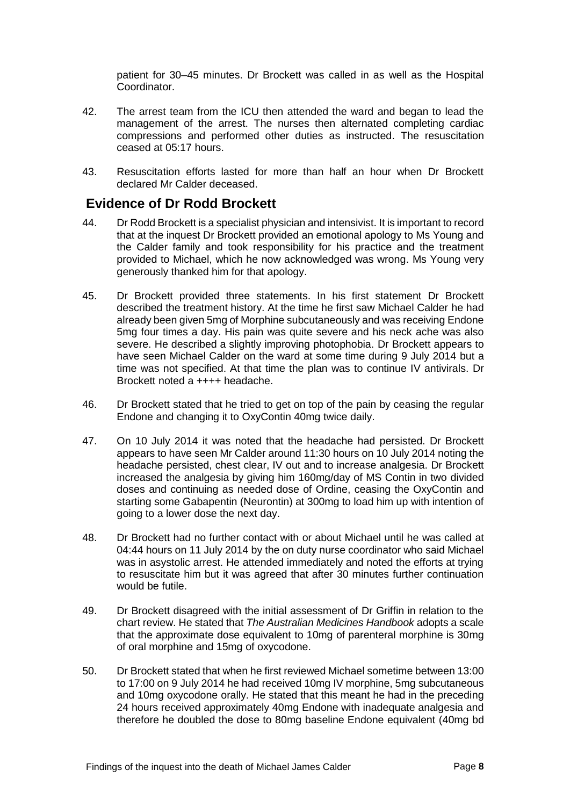patient for 30–45 minutes. Dr Brockett was called in as well as the Hospital Coordinator.

- 42. The arrest team from the ICU then attended the ward and began to lead the management of the arrest. The nurses then alternated completing cardiac compressions and performed other duties as instructed. The resuscitation ceased at 05:17 hours.
- 43. Resuscitation efforts lasted for more than half an hour when Dr Brockett declared Mr Calder deceased.

#### <span id="page-9-0"></span>**Evidence of Dr Rodd Brockett**

- 44. Dr Rodd Brockett is a specialist physician and intensivist. It is important to record that at the inquest Dr Brockett provided an emotional apology to Ms Young and the Calder family and took responsibility for his practice and the treatment provided to Michael, which he now acknowledged was wrong. Ms Young very generously thanked him for that apology.
- 45. Dr Brockett provided three statements. In his first statement Dr Brockett described the treatment history. At the time he first saw Michael Calder he had already been given 5mg of Morphine subcutaneously and was receiving Endone 5mg four times a day. His pain was quite severe and his neck ache was also severe. He described a slightly improving photophobia. Dr Brockett appears to have seen Michael Calder on the ward at some time during 9 July 2014 but a time was not specified. At that time the plan was to continue IV antivirals. Dr Brockett noted a ++++ headache.
- 46. Dr Brockett stated that he tried to get on top of the pain by ceasing the regular Endone and changing it to OxyContin 40mg twice daily.
- 47. On 10 July 2014 it was noted that the headache had persisted. Dr Brockett appears to have seen Mr Calder around 11:30 hours on 10 July 2014 noting the headache persisted, chest clear, IV out and to increase analgesia. Dr Brockett increased the analgesia by giving him 160mg/day of MS Contin in two divided doses and continuing as needed dose of Ordine, ceasing the OxyContin and starting some Gabapentin (Neurontin) at 300mg to load him up with intention of going to a lower dose the next day.
- 48. Dr Brockett had no further contact with or about Michael until he was called at 04:44 hours on 11 July 2014 by the on duty nurse coordinator who said Michael was in asystolic arrest. He attended immediately and noted the efforts at trying to resuscitate him but it was agreed that after 30 minutes further continuation would be futile.
- 49. Dr Brockett disagreed with the initial assessment of Dr Griffin in relation to the chart review. He stated that *The Australian Medicines Handbook* adopts a scale that the approximate dose equivalent to 10mg of parenteral morphine is 30mg of oral morphine and 15mg of oxycodone.
- 50. Dr Brockett stated that when he first reviewed Michael sometime between 13:00 to 17:00 on 9 July 2014 he had received 10mg IV morphine, 5mg subcutaneous and 10mg oxycodone orally. He stated that this meant he had in the preceding 24 hours received approximately 40mg Endone with inadequate analgesia and therefore he doubled the dose to 80mg baseline Endone equivalent (40mg bd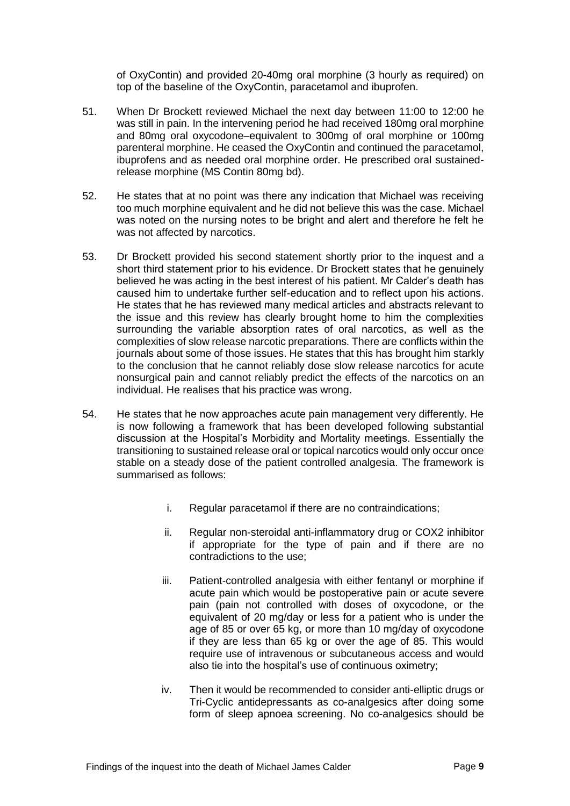of OxyContin) and provided 20-40mg oral morphine (3 hourly as required) on top of the baseline of the OxyContin, paracetamol and ibuprofen.

- 51. When Dr Brockett reviewed Michael the next day between 11:00 to 12:00 he was still in pain. In the intervening period he had received 180mg oral morphine and 80mg oral oxycodone–equivalent to 300mg of oral morphine or 100mg parenteral morphine. He ceased the OxyContin and continued the paracetamol, ibuprofens and as needed oral morphine order. He prescribed oral sustainedrelease morphine (MS Contin 80mg bd).
- 52. He states that at no point was there any indication that Michael was receiving too much morphine equivalent and he did not believe this was the case. Michael was noted on the nursing notes to be bright and alert and therefore he felt he was not affected by narcotics.
- 53. Dr Brockett provided his second statement shortly prior to the inquest and a short third statement prior to his evidence. Dr Brockett states that he genuinely believed he was acting in the best interest of his patient. Mr Calder's death has caused him to undertake further self-education and to reflect upon his actions. He states that he has reviewed many medical articles and abstracts relevant to the issue and this review has clearly brought home to him the complexities surrounding the variable absorption rates of oral narcotics, as well as the complexities of slow release narcotic preparations. There are conflicts within the journals about some of those issues. He states that this has brought him starkly to the conclusion that he cannot reliably dose slow release narcotics for acute nonsurgical pain and cannot reliably predict the effects of the narcotics on an individual. He realises that his practice was wrong.
- 54. He states that he now approaches acute pain management very differently. He is now following a framework that has been developed following substantial discussion at the Hospital's Morbidity and Mortality meetings. Essentially the transitioning to sustained release oral or topical narcotics would only occur once stable on a steady dose of the patient controlled analgesia. The framework is summarised as follows:
	- i. Regular paracetamol if there are no contraindications;
	- ii. Regular non-steroidal anti-inflammatory drug or COX2 inhibitor if appropriate for the type of pain and if there are no contradictions to the use;
	- iii. Patient-controlled analgesia with either fentanyl or morphine if acute pain which would be postoperative pain or acute severe pain (pain not controlled with doses of oxycodone, or the equivalent of 20 mg/day or less for a patient who is under the age of 85 or over 65 kg, or more than 10 mg/day of oxycodone if they are less than 65 kg or over the age of 85. This would require use of intravenous or subcutaneous access and would also tie into the hospital's use of continuous oximetry;
	- iv. Then it would be recommended to consider anti-elliptic drugs or Tri-Cyclic antidepressants as co-analgesics after doing some form of sleep apnoea screening. No co-analgesics should be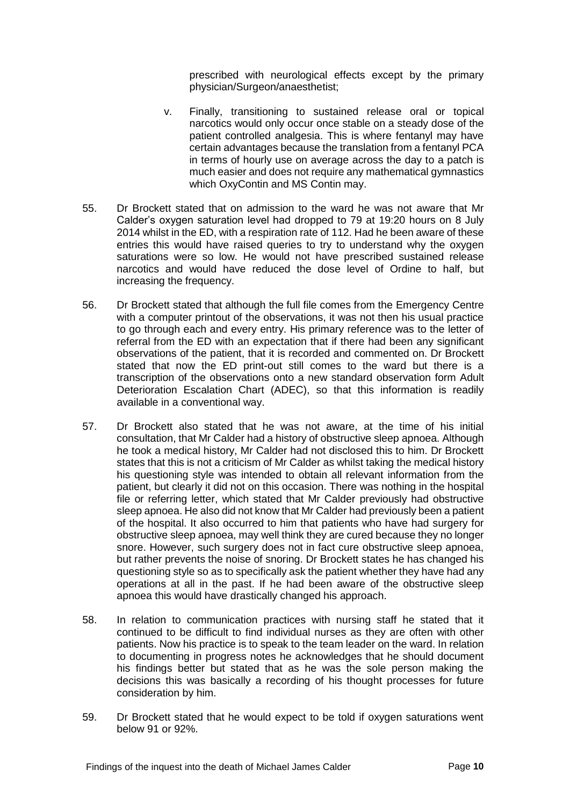prescribed with neurological effects except by the primary physician/Surgeon/anaesthetist;

- v. Finally, transitioning to sustained release oral or topical narcotics would only occur once stable on a steady dose of the patient controlled analgesia. This is where fentanyl may have certain advantages because the translation from a fentanyl PCA in terms of hourly use on average across the day to a patch is much easier and does not require any mathematical gymnastics which OxyContin and MS Contin may.
- 55. Dr Brockett stated that on admission to the ward he was not aware that Mr Calder's oxygen saturation level had dropped to 79 at 19:20 hours on 8 July 2014 whilst in the ED, with a respiration rate of 112. Had he been aware of these entries this would have raised queries to try to understand why the oxygen saturations were so low. He would not have prescribed sustained release narcotics and would have reduced the dose level of Ordine to half, but increasing the frequency.
- 56. Dr Brockett stated that although the full file comes from the Emergency Centre with a computer printout of the observations, it was not then his usual practice to go through each and every entry. His primary reference was to the letter of referral from the ED with an expectation that if there had been any significant observations of the patient, that it is recorded and commented on. Dr Brockett stated that now the ED print-out still comes to the ward but there is a transcription of the observations onto a new standard observation form Adult Deterioration Escalation Chart (ADEC), so that this information is readily available in a conventional way.
- 57. Dr Brockett also stated that he was not aware, at the time of his initial consultation, that Mr Calder had a history of obstructive sleep apnoea. Although he took a medical history, Mr Calder had not disclosed this to him. Dr Brockett states that this is not a criticism of Mr Calder as whilst taking the medical history his questioning style was intended to obtain all relevant information from the patient, but clearly it did not on this occasion. There was nothing in the hospital file or referring letter, which stated that Mr Calder previously had obstructive sleep apnoea. He also did not know that Mr Calder had previously been a patient of the hospital. It also occurred to him that patients who have had surgery for obstructive sleep apnoea, may well think they are cured because they no longer snore. However, such surgery does not in fact cure obstructive sleep apnoea, but rather prevents the noise of snoring. Dr Brockett states he has changed his questioning style so as to specifically ask the patient whether they have had any operations at all in the past. If he had been aware of the obstructive sleep apnoea this would have drastically changed his approach.
- 58. In relation to communication practices with nursing staff he stated that it continued to be difficult to find individual nurses as they are often with other patients. Now his practice is to speak to the team leader on the ward. In relation to documenting in progress notes he acknowledges that he should document his findings better but stated that as he was the sole person making the decisions this was basically a recording of his thought processes for future consideration by him.
- 59. Dr Brockett stated that he would expect to be told if oxygen saturations went below 91 or 92%.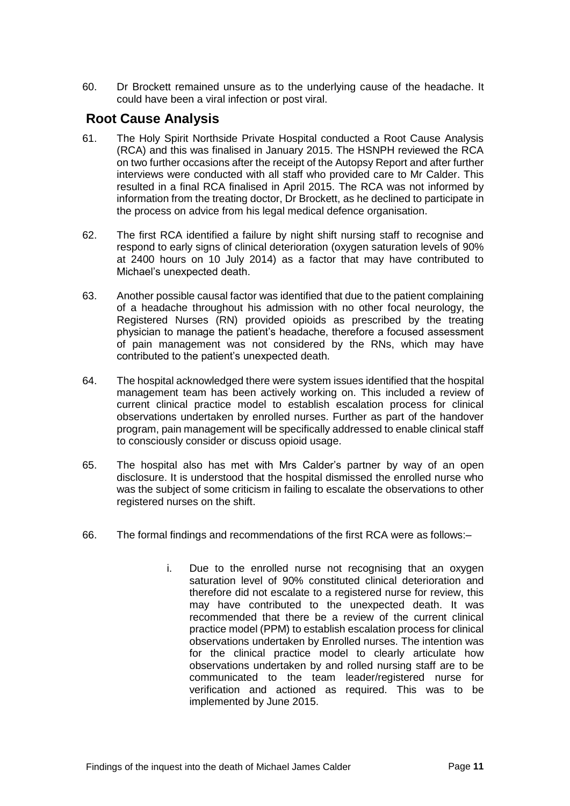60. Dr Brockett remained unsure as to the underlying cause of the headache. It could have been a viral infection or post viral.

# <span id="page-12-0"></span>**Root Cause Analysis**

- 61. The Holy Spirit Northside Private Hospital conducted a Root Cause Analysis (RCA) and this was finalised in January 2015. The HSNPH reviewed the RCA on two further occasions after the receipt of the Autopsy Report and after further interviews were conducted with all staff who provided care to Mr Calder. This resulted in a final RCA finalised in April 2015. The RCA was not informed by information from the treating doctor, Dr Brockett, as he declined to participate in the process on advice from his legal medical defence organisation.
- 62. The first RCA identified a failure by night shift nursing staff to recognise and respond to early signs of clinical deterioration (oxygen saturation levels of 90% at 2400 hours on 10 July 2014) as a factor that may have contributed to Michael's unexpected death.
- 63. Another possible causal factor was identified that due to the patient complaining of a headache throughout his admission with no other focal neurology, the Registered Nurses (RN) provided opioids as prescribed by the treating physician to manage the patient's headache, therefore a focused assessment of pain management was not considered by the RNs, which may have contributed to the patient's unexpected death.
- 64. The hospital acknowledged there were system issues identified that the hospital management team has been actively working on. This included a review of current clinical practice model to establish escalation process for clinical observations undertaken by enrolled nurses. Further as part of the handover program, pain management will be specifically addressed to enable clinical staff to consciously consider or discuss opioid usage.
- 65. The hospital also has met with Mrs Calder's partner by way of an open disclosure. It is understood that the hospital dismissed the enrolled nurse who was the subject of some criticism in failing to escalate the observations to other registered nurses on the shift.
- 66. The formal findings and recommendations of the first RCA were as follows:–
	- i. Due to the enrolled nurse not recognising that an oxygen saturation level of 90% constituted clinical deterioration and therefore did not escalate to a registered nurse for review, this may have contributed to the unexpected death. It was recommended that there be a review of the current clinical practice model (PPM) to establish escalation process for clinical observations undertaken by Enrolled nurses. The intention was for the clinical practice model to clearly articulate how observations undertaken by and rolled nursing staff are to be communicated to the team leader/registered nurse for verification and actioned as required. This was to be implemented by June 2015.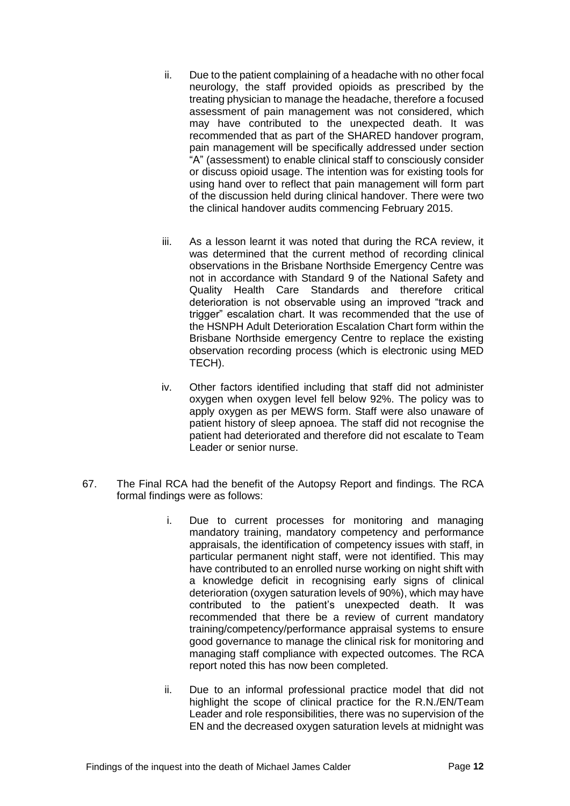- ii. Due to the patient complaining of a headache with no other focal neurology, the staff provided opioids as prescribed by the treating physician to manage the headache, therefore a focused assessment of pain management was not considered, which may have contributed to the unexpected death. It was recommended that as part of the SHARED handover program, pain management will be specifically addressed under section "A" (assessment) to enable clinical staff to consciously consider or discuss opioid usage. The intention was for existing tools for using hand over to reflect that pain management will form part of the discussion held during clinical handover. There were two the clinical handover audits commencing February 2015.
- iii. As a lesson learnt it was noted that during the RCA review, it was determined that the current method of recording clinical observations in the Brisbane Northside Emergency Centre was not in accordance with Standard 9 of the National Safety and Quality Health Care Standards and therefore critical deterioration is not observable using an improved "track and trigger" escalation chart. It was recommended that the use of the HSNPH Adult Deterioration Escalation Chart form within the Brisbane Northside emergency Centre to replace the existing observation recording process (which is electronic using MED TECH).
- iv. Other factors identified including that staff did not administer oxygen when oxygen level fell below 92%. The policy was to apply oxygen as per MEWS form. Staff were also unaware of patient history of sleep apnoea. The staff did not recognise the patient had deteriorated and therefore did not escalate to Team Leader or senior nurse.
- 67. The Final RCA had the benefit of the Autopsy Report and findings. The RCA formal findings were as follows:
	- i. Due to current processes for monitoring and managing mandatory training, mandatory competency and performance appraisals, the identification of competency issues with staff, in particular permanent night staff, were not identified. This may have contributed to an enrolled nurse working on night shift with a knowledge deficit in recognising early signs of clinical deterioration (oxygen saturation levels of 90%), which may have contributed to the patient's unexpected death. It was recommended that there be a review of current mandatory training/competency/performance appraisal systems to ensure good governance to manage the clinical risk for monitoring and managing staff compliance with expected outcomes. The RCA report noted this has now been completed.
	- ii. Due to an informal professional practice model that did not highlight the scope of clinical practice for the R.N./EN/Team Leader and role responsibilities, there was no supervision of the EN and the decreased oxygen saturation levels at midnight was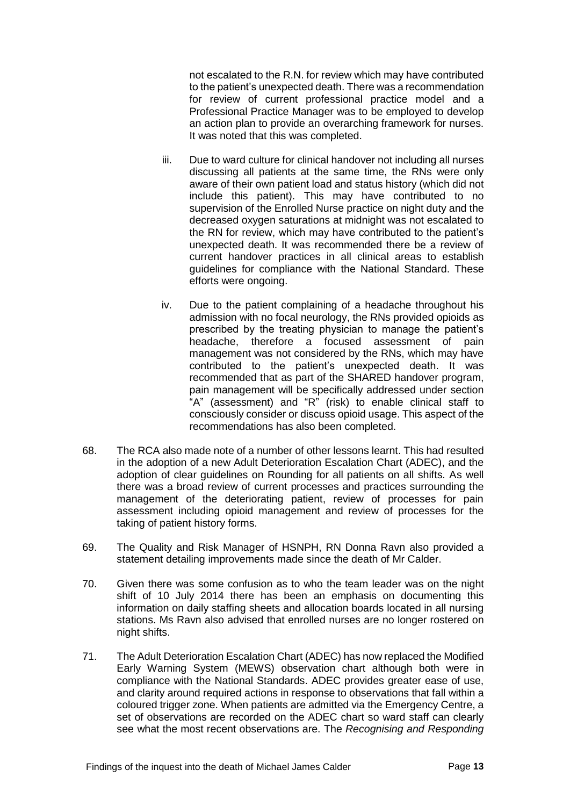not escalated to the R.N. for review which may have contributed to the patient's unexpected death. There was a recommendation for review of current professional practice model and a Professional Practice Manager was to be employed to develop an action plan to provide an overarching framework for nurses. It was noted that this was completed.

- iii. Due to ward culture for clinical handover not including all nurses discussing all patients at the same time, the RNs were only aware of their own patient load and status history (which did not include this patient). This may have contributed to no supervision of the Enrolled Nurse practice on night duty and the decreased oxygen saturations at midnight was not escalated to the RN for review, which may have contributed to the patient's unexpected death. It was recommended there be a review of current handover practices in all clinical areas to establish guidelines for compliance with the National Standard. These efforts were ongoing.
- iv. Due to the patient complaining of a headache throughout his admission with no focal neurology, the RNs provided opioids as prescribed by the treating physician to manage the patient's headache, therefore a focused assessment of pain management was not considered by the RNs, which may have contributed to the patient's unexpected death. It was recommended that as part of the SHARED handover program, pain management will be specifically addressed under section "A" (assessment) and "R" (risk) to enable clinical staff to consciously consider or discuss opioid usage. This aspect of the recommendations has also been completed.
- 68. The RCA also made note of a number of other lessons learnt. This had resulted in the adoption of a new Adult Deterioration Escalation Chart (ADEC), and the adoption of clear guidelines on Rounding for all patients on all shifts. As well there was a broad review of current processes and practices surrounding the management of the deteriorating patient, review of processes for pain assessment including opioid management and review of processes for the taking of patient history forms.
- 69. The Quality and Risk Manager of HSNPH, RN Donna Ravn also provided a statement detailing improvements made since the death of Mr Calder.
- 70. Given there was some confusion as to who the team leader was on the night shift of 10 July 2014 there has been an emphasis on documenting this information on daily staffing sheets and allocation boards located in all nursing stations. Ms Ravn also advised that enrolled nurses are no longer rostered on night shifts.
- 71. The Adult Deterioration Escalation Chart (ADEC) has now replaced the Modified Early Warning System (MEWS) observation chart although both were in compliance with the National Standards. ADEC provides greater ease of use, and clarity around required actions in response to observations that fall within a coloured trigger zone. When patients are admitted via the Emergency Centre, a set of observations are recorded on the ADEC chart so ward staff can clearly see what the most recent observations are. The *Recognising and Responding*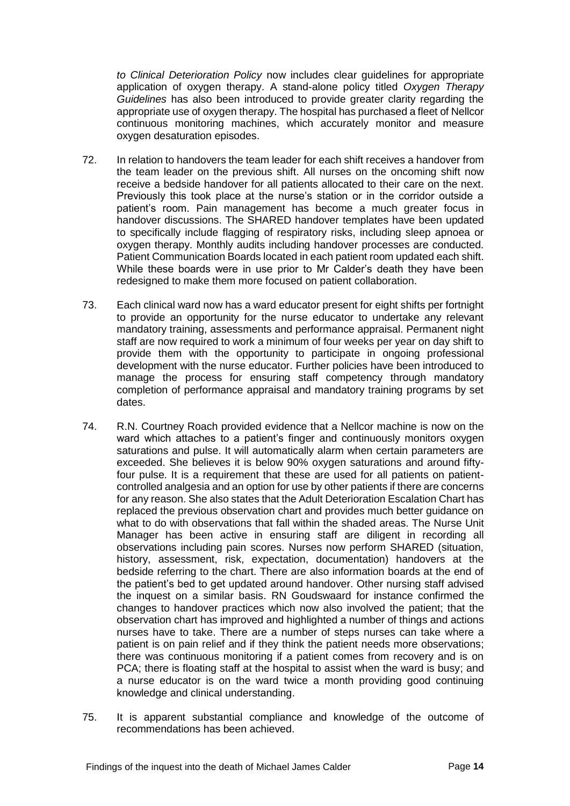*to Clinical Deterioration Policy* now includes clear guidelines for appropriate application of oxygen therapy. A stand-alone policy titled *Oxygen Therapy Guidelines* has also been introduced to provide greater clarity regarding the appropriate use of oxygen therapy. The hospital has purchased a fleet of Nellcor continuous monitoring machines, which accurately monitor and measure oxygen desaturation episodes.

- 72. In relation to handovers the team leader for each shift receives a handover from the team leader on the previous shift. All nurses on the oncoming shift now receive a bedside handover for all patients allocated to their care on the next. Previously this took place at the nurse's station or in the corridor outside a patient's room. Pain management has become a much greater focus in handover discussions. The SHARED handover templates have been updated to specifically include flagging of respiratory risks, including sleep apnoea or oxygen therapy. Monthly audits including handover processes are conducted. Patient Communication Boards located in each patient room updated each shift. While these boards were in use prior to Mr Calder's death they have been redesigned to make them more focused on patient collaboration.
- 73. Each clinical ward now has a ward educator present for eight shifts per fortnight to provide an opportunity for the nurse educator to undertake any relevant mandatory training, assessments and performance appraisal. Permanent night staff are now required to work a minimum of four weeks per year on day shift to provide them with the opportunity to participate in ongoing professional development with the nurse educator. Further policies have been introduced to manage the process for ensuring staff competency through mandatory completion of performance appraisal and mandatory training programs by set dates.
- 74. R.N. Courtney Roach provided evidence that a Nellcor machine is now on the ward which attaches to a patient's finger and continuously monitors oxygen saturations and pulse. It will automatically alarm when certain parameters are exceeded. She believes it is below 90% oxygen saturations and around fiftyfour pulse. It is a requirement that these are used for all patients on patientcontrolled analgesia and an option for use by other patients if there are concerns for any reason. She also states that the Adult Deterioration Escalation Chart has replaced the previous observation chart and provides much better guidance on what to do with observations that fall within the shaded areas. The Nurse Unit Manager has been active in ensuring staff are diligent in recording all observations including pain scores. Nurses now perform SHARED (situation, history, assessment, risk, expectation, documentation) handovers at the bedside referring to the chart. There are also information boards at the end of the patient's bed to get updated around handover. Other nursing staff advised the inquest on a similar basis. RN Goudswaard for instance confirmed the changes to handover practices which now also involved the patient; that the observation chart has improved and highlighted a number of things and actions nurses have to take. There are a number of steps nurses can take where a patient is on pain relief and if they think the patient needs more observations; there was continuous monitoring if a patient comes from recovery and is on PCA; there is floating staff at the hospital to assist when the ward is busy; and a nurse educator is on the ward twice a month providing good continuing knowledge and clinical understanding.
- 75. It is apparent substantial compliance and knowledge of the outcome of recommendations has been achieved.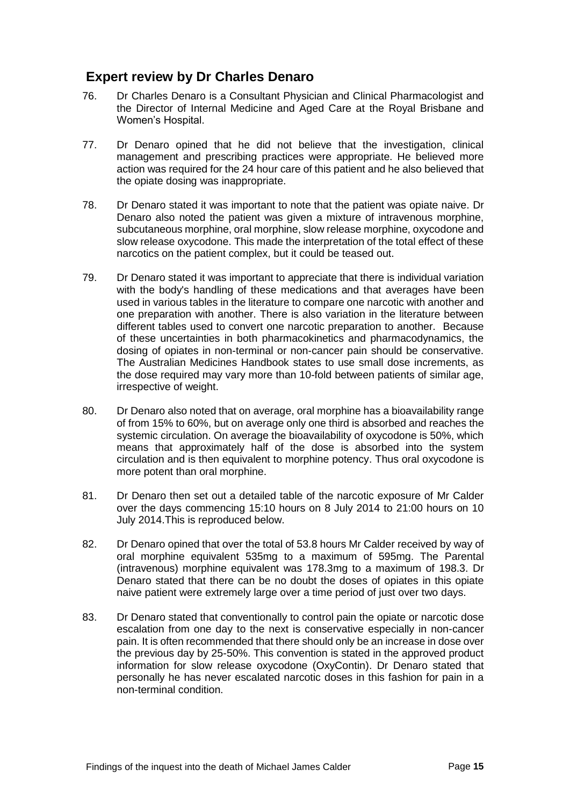# <span id="page-16-0"></span>**Expert review by Dr Charles Denaro**

- 76. Dr Charles Denaro is a Consultant Physician and Clinical Pharmacologist and the Director of Internal Medicine and Aged Care at the Royal Brisbane and Women's Hospital.
- 77. Dr Denaro opined that he did not believe that the investigation, clinical management and prescribing practices were appropriate. He believed more action was required for the 24 hour care of this patient and he also believed that the opiate dosing was inappropriate.
- 78. Dr Denaro stated it was important to note that the patient was opiate naive. Dr Denaro also noted the patient was given a mixture of intravenous morphine, subcutaneous morphine, oral morphine, slow release morphine, oxycodone and slow release oxycodone. This made the interpretation of the total effect of these narcotics on the patient complex, but it could be teased out.
- 79. Dr Denaro stated it was important to appreciate that there is individual variation with the body's handling of these medications and that averages have been used in various tables in the literature to compare one narcotic with another and one preparation with another. There is also variation in the literature between different tables used to convert one narcotic preparation to another. Because of these uncertainties in both pharmacokinetics and pharmacodynamics, the dosing of opiates in non-terminal or non-cancer pain should be conservative. The Australian Medicines Handbook states to use small dose increments, as the dose required may vary more than 10-fold between patients of similar age, irrespective of weight.
- 80. Dr Denaro also noted that on average, oral morphine has a bioavailability range of from 15% to 60%, but on average only one third is absorbed and reaches the systemic circulation. On average the bioavailability of oxycodone is 50%, which means that approximately half of the dose is absorbed into the system circulation and is then equivalent to morphine potency. Thus oral oxycodone is more potent than oral morphine.
- 81. Dr Denaro then set out a detailed table of the narcotic exposure of Mr Calder over the days commencing 15:10 hours on 8 July 2014 to 21:00 hours on 10 July 2014.This is reproduced below.
- 82. Dr Denaro opined that over the total of 53.8 hours Mr Calder received by way of oral morphine equivalent 535mg to a maximum of 595mg. The Parental (intravenous) morphine equivalent was 178.3mg to a maximum of 198.3. Dr Denaro stated that there can be no doubt the doses of opiates in this opiate naive patient were extremely large over a time period of just over two days.
- 83. Dr Denaro stated that conventionally to control pain the opiate or narcotic dose escalation from one day to the next is conservative especially in non-cancer pain. It is often recommended that there should only be an increase in dose over the previous day by 25-50%. This convention is stated in the approved product information for slow release oxycodone (OxyContin). Dr Denaro stated that personally he has never escalated narcotic doses in this fashion for pain in a non-terminal condition.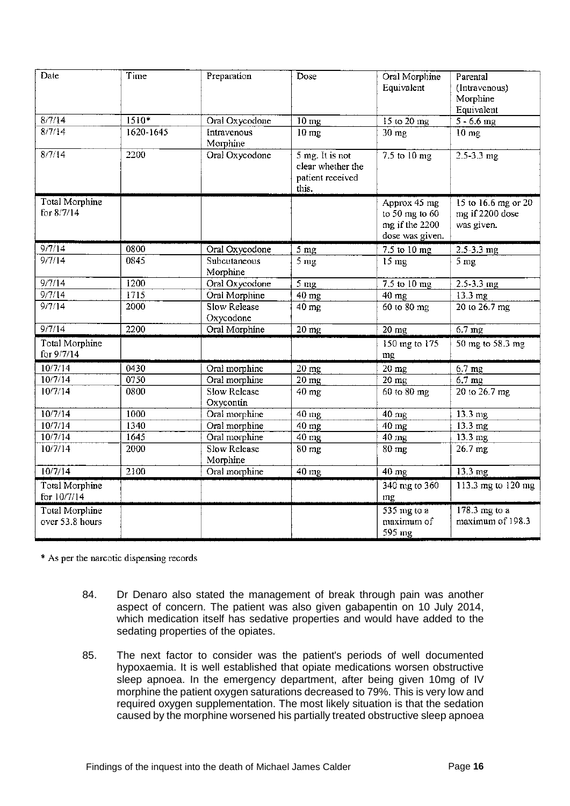| Date                                 | Time      | Preparation                      | Dose                                                                | Oral Morphine<br>Equivalent         | Parental<br>(Intravenous)<br>Morphine<br>Equivalent |  |
|--------------------------------------|-----------|----------------------------------|---------------------------------------------------------------------|-------------------------------------|-----------------------------------------------------|--|
| 8/7/14                               | $1510*$   | Oral Oxycodone                   | $10$ mg<br>15 to 20 mg                                              |                                     | $5 - 6.6$ mg                                        |  |
| 8/7/14                               | 1620-1645 | Intravenous<br>Morphine          | $\overline{10}$ mg<br>30 mg                                         |                                     | $10$ mg                                             |  |
| 8/7/14                               | 2200      | Oral Oxycodone                   | $5$ mg. It is not<br>clear whether the<br>patient received<br>this. | 7.5 to 10 mg                        | $2.5 - 3.3$ mg                                      |  |
| <b>Total Morphine</b>                |           |                                  |                                                                     | Approx 45 mg                        | 15 to 16.6 mg or 20                                 |  |
| for 8/7/14                           |           |                                  |                                                                     | to 50 mg to 60                      | mg if 2200 dose                                     |  |
|                                      |           |                                  |                                                                     | mg if the 2200                      | was given.                                          |  |
|                                      |           |                                  |                                                                     | dose was given.                     |                                                     |  |
| 9/7/14                               | 0800      | Oral Oxycodone                   | 5 <sub>mg</sub>                                                     | 7.5 to 10 mg                        | $2.5 - 3.3$ mg                                      |  |
| 9/7/14                               | 0845      | Subcutaneous                     | 5 <sub>mg</sub>                                                     | $15 \text{ mg}$                     | 5 <sub>mg</sub>                                     |  |
|                                      |           | Morphine                         |                                                                     |                                     |                                                     |  |
| 9/7/14                               | i200      | Oral Oxycodone                   | $\overline{5}$ mg                                                   | 7.5 to 10 mg                        | $2.5 - 3.3$ mg                                      |  |
| 9/7/14                               | 1715      | Oral Morphine                    | $40$ mg                                                             | 40 mg                               | 13.3 mg<br>20 to 26.7 mg                            |  |
| 9/7/14                               | 2000      | <b>Slow Release</b><br>Oxycodone |                                                                     | $40$ mg<br>60 to 80 mg              |                                                     |  |
| 9/7/14                               | 2200      | Oral Morphine                    | 20 mg                                                               | $\overline{20}$ mg                  |                                                     |  |
| Total Morphine<br>for 9/7/14         |           |                                  |                                                                     | $150$ mg to $175$<br>mg             | 50 mg to 58.3 mg                                    |  |
| 10/7/14                              | 0430      | Oral morphine                    | $\overline{20}$ mg                                                  | $\overline{20}$ mg                  | $6.7$ mg                                            |  |
| 10/7/14                              | 0750      | Oral morphine                    | $20$ mg                                                             | 20 mg                               | $6.7$ mg                                            |  |
| 10/7/14                              | 0800      | <b>Slow Release</b><br>Oxycontin | $40 \text{ mg}$                                                     | 60 to 80 mg                         | 20 to 26.7 mg                                       |  |
| 10/7/14                              | 1000      | Oral morphine                    | 40 mg                                                               | $40$ mg                             | 13.3 mg                                             |  |
| 10/7/14                              | 1340      | Oral morphine                    | 40 mg                                                               | $40 \text{ mg}$                     | 13.3 mg                                             |  |
| 10/7/14                              | 1645      | Oral morphine                    | $40$ mg                                                             | $40$ mg                             | 13.3 mg                                             |  |
| 10/7/14                              | 2000      | <b>Slow Release</b><br>Morphine  | 80 mg                                                               | $80 \text{ mg}$                     | 26.7 mg                                             |  |
| 10/7/14                              | 2100      | Oral morphine                    | 40 mg                                                               | 40 mg                               | 13.3 mg                                             |  |
| <b>Total Morphine</b><br>for 10/7/14 |           |                                  |                                                                     | 340 mg to 360<br>mg                 | 113.3 mg to 120 mg                                  |  |
| Total Morphine<br>over 53.8 hours    |           |                                  |                                                                     | 535 mg to a<br>maximum of<br>595 mg | 178.3 mg to a<br>maximum of 198.3                   |  |

\* As per the narcotic dispensing records

- 84. Dr Denaro also stated the management of break through pain was another aspect of concern. The patient was also given gabapentin on 10 July 2014, which medication itself has sedative properties and would have added to the sedating properties of the opiates.
- 85. The next factor to consider was the patient's periods of well documented hypoxaemia. It is well established that opiate medications worsen obstructive sleep apnoea. In the emergency department, after being given 10mg of IV morphine the patient oxygen saturations decreased to 79%. This is very low and required oxygen supplementation. The most likely situation is that the sedation caused by the morphine worsened his partially treated obstructive sleep apnoea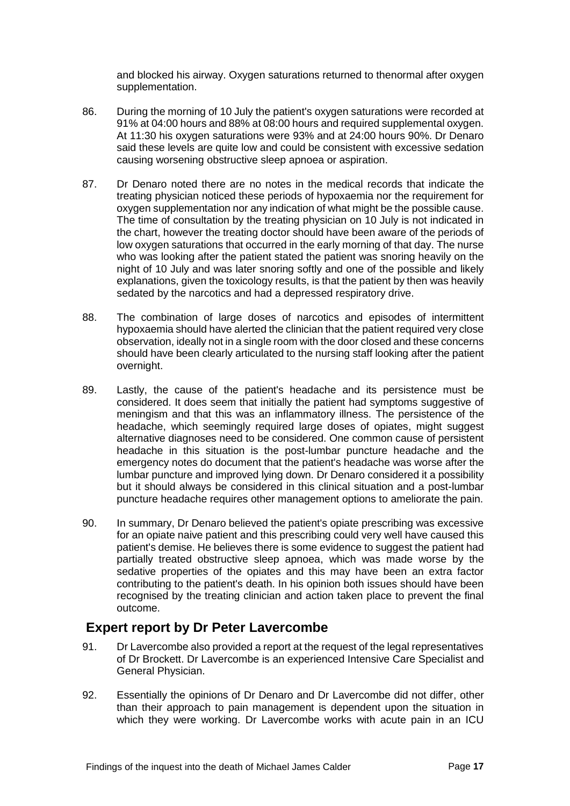and blocked his airway. Oxygen saturations returned to thenormal after oxygen supplementation.

- 86. During the morning of 10 July the patient's oxygen saturations were recorded at 91% at 04:00 hours and 88% at 08:00 hours and required supplemental oxygen. At 11:30 his oxygen saturations were 93% and at 24:00 hours 90%. Dr Denaro said these levels are quite low and could be consistent with excessive sedation causing worsening obstructive sleep apnoea or aspiration.
- 87. Dr Denaro noted there are no notes in the medical records that indicate the treating physician noticed these periods of hypoxaemia nor the requirement for oxygen supplementation nor any indication of what might be the possible cause. The time of consultation by the treating physician on 10 July is not indicated in the chart, however the treating doctor should have been aware of the periods of low oxygen saturations that occurred in the early morning of that day. The nurse who was looking after the patient stated the patient was snoring heavily on the night of 10 July and was later snoring softly and one of the possible and likely explanations, given the toxicology results, is that the patient by then was heavily sedated by the narcotics and had a depressed respiratory drive.
- 88. The combination of large doses of narcotics and episodes of intermittent hypoxaemia should have alerted the clinician that the patient required very close observation, ideally not in a single room with the door closed and these concerns should have been clearly articulated to the nursing staff looking after the patient overnight.
- 89. Lastly, the cause of the patient's headache and its persistence must be considered. It does seem that initially the patient had symptoms suggestive of meningism and that this was an inflammatory illness. The persistence of the headache, which seemingly required large doses of opiates, might suggest alternative diagnoses need to be considered. One common cause of persistent headache in this situation is the post-lumbar puncture headache and the emergency notes do document that the patient's headache was worse after the lumbar puncture and improved lying down. Dr Denaro considered it a possibility but it should always be considered in this clinical situation and a post-lumbar puncture headache requires other management options to ameliorate the pain.
- 90. In summary, Dr Denaro believed the patient's opiate prescribing was excessive for an opiate naive patient and this prescribing could very well have caused this patient's demise. He believes there is some evidence to suggest the patient had partially treated obstructive sleep apnoea, which was made worse by the sedative properties of the opiates and this may have been an extra factor contributing to the patient's death. In his opinion both issues should have been recognised by the treating clinician and action taken place to prevent the final outcome.

#### <span id="page-18-0"></span>**Expert report by Dr Peter Lavercombe**

- 91. Dr Lavercombe also provided a report at the request of the legal representatives of Dr Brockett. Dr Lavercombe is an experienced Intensive Care Specialist and General Physician.
- 92. Essentially the opinions of Dr Denaro and Dr Lavercombe did not differ, other than their approach to pain management is dependent upon the situation in which they were working. Dr Lavercombe works with acute pain in an ICU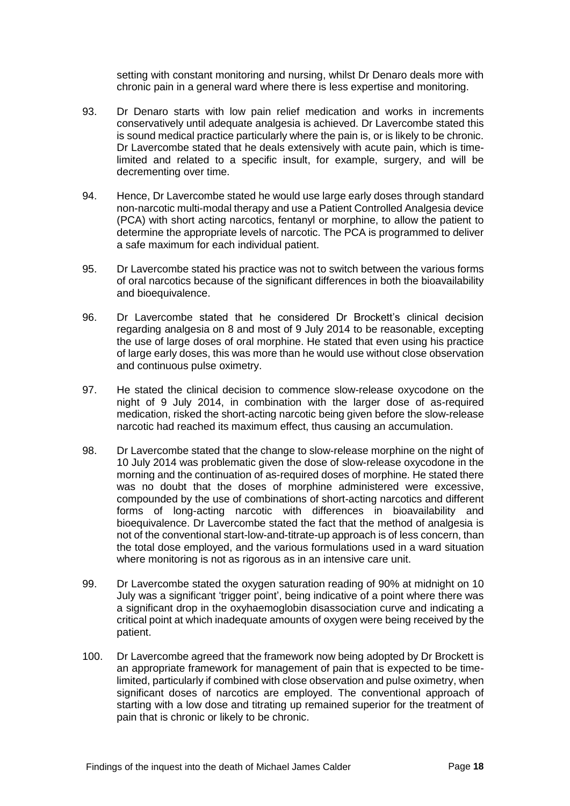setting with constant monitoring and nursing, whilst Dr Denaro deals more with chronic pain in a general ward where there is less expertise and monitoring.

- 93. Dr Denaro starts with low pain relief medication and works in increments conservatively until adequate analgesia is achieved. Dr Lavercombe stated this is sound medical practice particularly where the pain is, or is likely to be chronic. Dr Lavercombe stated that he deals extensively with acute pain, which is timelimited and related to a specific insult, for example, surgery, and will be decrementing over time.
- 94. Hence, Dr Lavercombe stated he would use large early doses through standard non-narcotic multi-modal therapy and use a Patient Controlled Analgesia device (PCA) with short acting narcotics, fentanyl or morphine, to allow the patient to determine the appropriate levels of narcotic. The PCA is programmed to deliver a safe maximum for each individual patient.
- 95. Dr Lavercombe stated his practice was not to switch between the various forms of oral narcotics because of the significant differences in both the bioavailability and bioequivalence.
- 96. Dr Lavercombe stated that he considered Dr Brockett's clinical decision regarding analgesia on 8 and most of 9 July 2014 to be reasonable, excepting the use of large doses of oral morphine. He stated that even using his practice of large early doses, this was more than he would use without close observation and continuous pulse oximetry.
- 97. He stated the clinical decision to commence slow-release oxycodone on the night of 9 July 2014, in combination with the larger dose of as-required medication, risked the short-acting narcotic being given before the slow-release narcotic had reached its maximum effect, thus causing an accumulation.
- 98. Dr Lavercombe stated that the change to slow-release morphine on the night of 10 July 2014 was problematic given the dose of slow-release oxycodone in the morning and the continuation of as-required doses of morphine. He stated there was no doubt that the doses of morphine administered were excessive, compounded by the use of combinations of short-acting narcotics and different forms of long-acting narcotic with differences in bioavailability and bioequivalence. Dr Lavercombe stated the fact that the method of analgesia is not of the conventional start-low-and-titrate-up approach is of less concern, than the total dose employed, and the various formulations used in a ward situation where monitoring is not as rigorous as in an intensive care unit.
- 99. Dr Lavercombe stated the oxygen saturation reading of 90% at midnight on 10 July was a significant 'trigger point', being indicative of a point where there was a significant drop in the oxyhaemoglobin disassociation curve and indicating a critical point at which inadequate amounts of oxygen were being received by the patient.
- 100. Dr Lavercombe agreed that the framework now being adopted by Dr Brockett is an appropriate framework for management of pain that is expected to be timelimited, particularly if combined with close observation and pulse oximetry, when significant doses of narcotics are employed. The conventional approach of starting with a low dose and titrating up remained superior for the treatment of pain that is chronic or likely to be chronic.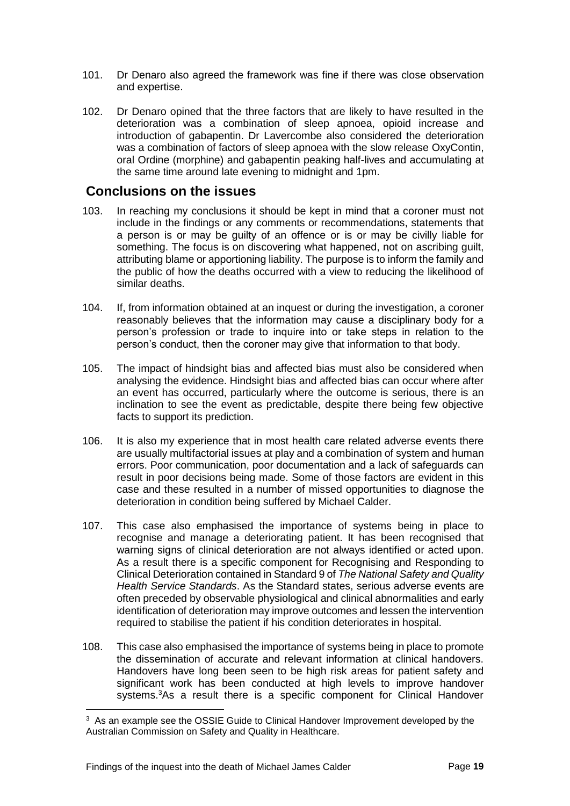- 101. Dr Denaro also agreed the framework was fine if there was close observation and expertise.
- 102. Dr Denaro opined that the three factors that are likely to have resulted in the deterioration was a combination of sleep apnoea, opioid increase and introduction of gabapentin. Dr Lavercombe also considered the deterioration was a combination of factors of sleep apnoea with the slow release OxyContin, oral Ordine (morphine) and gabapentin peaking half-lives and accumulating at the same time around late evening to midnight and 1pm.

#### <span id="page-20-0"></span>**Conclusions on the issues**

- 103. In reaching my conclusions it should be kept in mind that a coroner must not include in the findings or any comments or recommendations, statements that a person is or may be guilty of an offence or is or may be civilly liable for something. The focus is on discovering what happened, not on ascribing guilt, attributing blame or apportioning liability. The purpose is to inform the family and the public of how the deaths occurred with a view to reducing the likelihood of similar deaths.
- 104. If, from information obtained at an inquest or during the investigation, a coroner reasonably believes that the information may cause a disciplinary body for a person's profession or trade to inquire into or take steps in relation to the person's conduct, then the coroner may give that information to that body.
- 105. The impact of hindsight bias and affected bias must also be considered when analysing the evidence. Hindsight bias and affected bias can occur where after an event has occurred, particularly where the outcome is serious, there is an inclination to see the event as predictable, despite there being few objective facts to support its prediction.
- 106. It is also my experience that in most health care related adverse events there are usually multifactorial issues at play and a combination of system and human errors. Poor communication, poor documentation and a lack of safeguards can result in poor decisions being made. Some of those factors are evident in this case and these resulted in a number of missed opportunities to diagnose the deterioration in condition being suffered by Michael Calder.
- 107. This case also emphasised the importance of systems being in place to recognise and manage a deteriorating patient. It has been recognised that warning signs of clinical deterioration are not always identified or acted upon. As a result there is a specific component for Recognising and Responding to Clinical Deterioration contained in Standard 9 of *The National Safety and Quality Health Service Standards*. As the Standard states, serious adverse events are often preceded by observable physiological and clinical abnormalities and early identification of deterioration may improve outcomes and lessen the intervention required to stabilise the patient if his condition deteriorates in hospital.
- 108. This case also emphasised the importance of systems being in place to promote the dissemination of accurate and relevant information at clinical handovers. Handovers have long been seen to be high risk areas for patient safety and significant work has been conducted at high levels to improve handover systems.<sup>3</sup>As a result there is a specific component for Clinical Handover

l

<sup>&</sup>lt;sup>3</sup> As an example see the OSSIE Guide to Clinical Handover Improvement developed by the Australian Commission on Safety and Quality in Healthcare.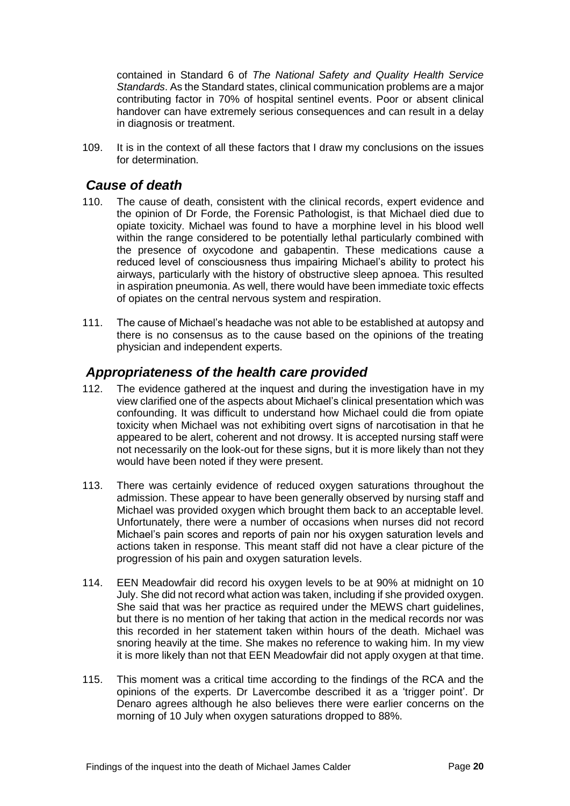contained in Standard 6 of *The National Safety and Quality Health Service Standards*. As the Standard states, clinical communication problems are a major contributing factor in 70% of hospital sentinel events. Poor or absent clinical handover can have extremely serious consequences and can result in a delay in diagnosis or treatment.

109. It is in the context of all these factors that I draw my conclusions on the issues for determination.

#### <span id="page-21-0"></span>*Cause of death*

- 110. The cause of death, consistent with the clinical records, expert evidence and the opinion of Dr Forde, the Forensic Pathologist, is that Michael died due to opiate toxicity. Michael was found to have a morphine level in his blood well within the range considered to be potentially lethal particularly combined with the presence of oxycodone and gabapentin. These medications cause a reduced level of consciousness thus impairing Michael's ability to protect his airways, particularly with the history of obstructive sleep apnoea. This resulted in aspiration pneumonia. As well, there would have been immediate toxic effects of opiates on the central nervous system and respiration.
- 111. The cause of Michael's headache was not able to be established at autopsy and there is no consensus as to the cause based on the opinions of the treating physician and independent experts.

#### <span id="page-21-1"></span>*Appropriateness of the health care provided*

- 112. The evidence gathered at the inquest and during the investigation have in my view clarified one of the aspects about Michael's clinical presentation which was confounding. It was difficult to understand how Michael could die from opiate toxicity when Michael was not exhibiting overt signs of narcotisation in that he appeared to be alert, coherent and not drowsy. It is accepted nursing staff were not necessarily on the look-out for these signs, but it is more likely than not they would have been noted if they were present.
- 113. There was certainly evidence of reduced oxygen saturations throughout the admission. These appear to have been generally observed by nursing staff and Michael was provided oxygen which brought them back to an acceptable level. Unfortunately, there were a number of occasions when nurses did not record Michael's pain scores and reports of pain nor his oxygen saturation levels and actions taken in response. This meant staff did not have a clear picture of the progression of his pain and oxygen saturation levels.
- 114. EEN Meadowfair did record his oxygen levels to be at 90% at midnight on 10 July. She did not record what action was taken, including if she provided oxygen. She said that was her practice as required under the MEWS chart guidelines, but there is no mention of her taking that action in the medical records nor was this recorded in her statement taken within hours of the death. Michael was snoring heavily at the time. She makes no reference to waking him. In my view it is more likely than not that EEN Meadowfair did not apply oxygen at that time.
- 115. This moment was a critical time according to the findings of the RCA and the opinions of the experts. Dr Lavercombe described it as a 'trigger point'. Dr Denaro agrees although he also believes there were earlier concerns on the morning of 10 July when oxygen saturations dropped to 88%.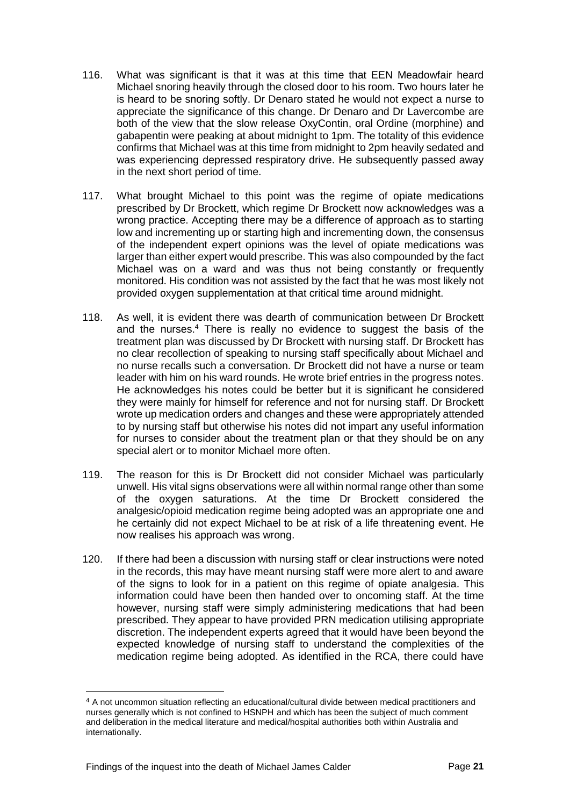- 116. What was significant is that it was at this time that EEN Meadowfair heard Michael snoring heavily through the closed door to his room. Two hours later he is heard to be snoring softly. Dr Denaro stated he would not expect a nurse to appreciate the significance of this change. Dr Denaro and Dr Lavercombe are both of the view that the slow release OxyContin, oral Ordine (morphine) and gabapentin were peaking at about midnight to 1pm. The totality of this evidence confirms that Michael was at this time from midnight to 2pm heavily sedated and was experiencing depressed respiratory drive. He subsequently passed away in the next short period of time.
- 117. What brought Michael to this point was the regime of opiate medications prescribed by Dr Brockett, which regime Dr Brockett now acknowledges was a wrong practice. Accepting there may be a difference of approach as to starting low and incrementing up or starting high and incrementing down, the consensus of the independent expert opinions was the level of opiate medications was larger than either expert would prescribe. This was also compounded by the fact Michael was on a ward and was thus not being constantly or frequently monitored. His condition was not assisted by the fact that he was most likely not provided oxygen supplementation at that critical time around midnight.
- 118. As well, it is evident there was dearth of communication between Dr Brockett and the nurses. <sup>4</sup> There is really no evidence to suggest the basis of the treatment plan was discussed by Dr Brockett with nursing staff. Dr Brockett has no clear recollection of speaking to nursing staff specifically about Michael and no nurse recalls such a conversation. Dr Brockett did not have a nurse or team leader with him on his ward rounds. He wrote brief entries in the progress notes. He acknowledges his notes could be better but it is significant he considered they were mainly for himself for reference and not for nursing staff. Dr Brockett wrote up medication orders and changes and these were appropriately attended to by nursing staff but otherwise his notes did not impart any useful information for nurses to consider about the treatment plan or that they should be on any special alert or to monitor Michael more often.
- 119. The reason for this is Dr Brockett did not consider Michael was particularly unwell. His vital signs observations were all within normal range other than some of the oxygen saturations. At the time Dr Brockett considered the analgesic/opioid medication regime being adopted was an appropriate one and he certainly did not expect Michael to be at risk of a life threatening event. He now realises his approach was wrong.
- 120. If there had been a discussion with nursing staff or clear instructions were noted in the records, this may have meant nursing staff were more alert to and aware of the signs to look for in a patient on this regime of opiate analgesia. This information could have been then handed over to oncoming staff. At the time however, nursing staff were simply administering medications that had been prescribed. They appear to have provided PRN medication utilising appropriate discretion. The independent experts agreed that it would have been beyond the expected knowledge of nursing staff to understand the complexities of the medication regime being adopted. As identified in the RCA, there could have

l

<sup>4</sup> A not uncommon situation reflecting an educational/cultural divide between medical practitioners and nurses generally which is not confined to HSNPH and which has been the subject of much comment and deliberation in the medical literature and medical/hospital authorities both within Australia and internationally.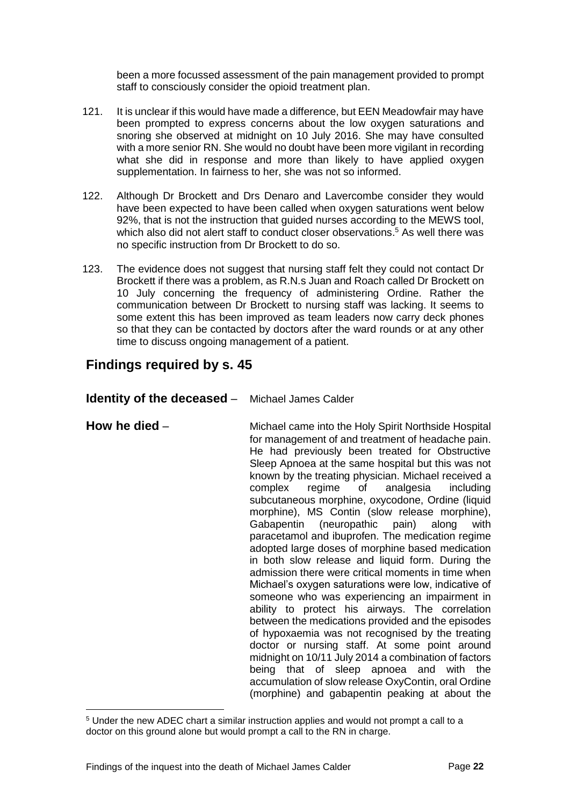been a more focussed assessment of the pain management provided to prompt staff to consciously consider the opioid treatment plan.

- 121. It is unclear if this would have made a difference, but EEN Meadowfair may have been prompted to express concerns about the low oxygen saturations and snoring she observed at midnight on 10 July 2016. She may have consulted with a more senior RN. She would no doubt have been more vigilant in recording what she did in response and more than likely to have applied oxygen supplementation. In fairness to her, she was not so informed.
- 122. Although Dr Brockett and Drs Denaro and Lavercombe consider they would have been expected to have been called when oxygen saturations went below 92%, that is not the instruction that guided nurses according to the MEWS tool, which also did not alert staff to conduct closer observations. <sup>5</sup> As well there was no specific instruction from Dr Brockett to do so.
- 123. The evidence does not suggest that nursing staff felt they could not contact Dr Brockett if there was a problem, as R.N.s Juan and Roach called Dr Brockett on 10 July concerning the frequency of administering Ordine. Rather the communication between Dr Brockett to nursing staff was lacking. It seems to some extent this has been improved as team leaders now carry deck phones so that they can be contacted by doctors after the ward rounds or at any other time to discuss ongoing management of a patient.

# <span id="page-23-0"></span>**Findings required by s. 45**

<span id="page-23-1"></span>**Identity of the deceased** – Michael James Calder

<span id="page-23-2"></span>

l

**How he died** – Michael came into the Holy Spirit Northside Hospital for management of and treatment of headache pain. He had previously been treated for Obstructive Sleep Apnoea at the same hospital but this was not known by the treating physician. Michael received a complex regime of analgesia including subcutaneous morphine, oxycodone, Ordine (liquid morphine), MS Contin (slow release morphine), Gabapentin (neuropathic pain) along with paracetamol and ibuprofen. The medication regime adopted large doses of morphine based medication in both slow release and liquid form. During the admission there were critical moments in time when Michael's oxygen saturations were low, indicative of someone who was experiencing an impairment in ability to protect his airways. The correlation between the medications provided and the episodes of hypoxaemia was not recognised by the treating doctor or nursing staff. At some point around midnight on 10/11 July 2014 a combination of factors being that of sleep apnoea and with the accumulation of slow release OxyContin, oral Ordine (morphine) and gabapentin peaking at about the

<sup>5</sup> Under the new ADEC chart a similar instruction applies and would not prompt a call to a doctor on this ground alone but would prompt a call to the RN in charge.